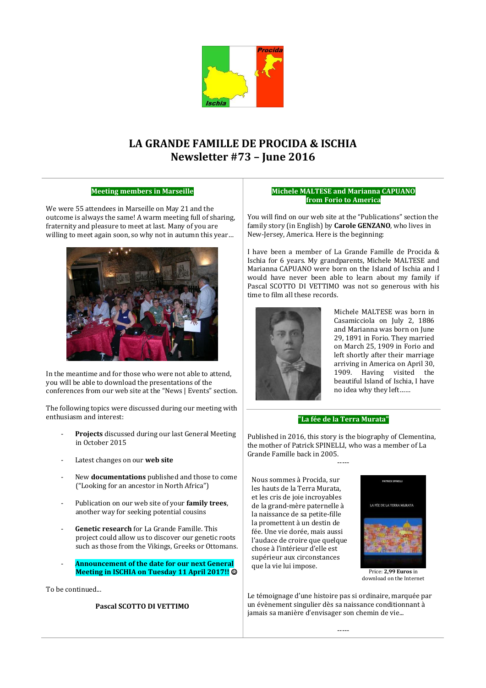

# **LA GRANDE FAMILLE DE PROCIDA & ISCHIA Newsletter #73 – June 2016**

## **Meeting members in Marseille**

We were 55 attendees in Marseille on May 21 and the outcome is always the same! A warm meeting full of sharing, fraternity and pleasure to meet at last. Many of you are willing to meet again soon, so why not in autumn this year…



In the meantime and for those who were not able to attend, you will be able to download the presentations of the conferences from our web site at the "News | Events" section.

The following topics were discussed during our meeting with enthusiasm and interest:

- **Projects** discussed during our last General Meeting in October 2015
- Latest changes on our **web site**
- New **documentations** published and those to come ("Looking for an ancestor in North Africa")
- Publication on our web site of your **family trees**, another way for seeking potential cousins
- Genetic research for La Grande Famille. This project could allow us to discover our genetic roots such as those from the Vikings, Greeks or Ottomans.
- **Announcement of the date for our next General Meeting in ISCHIA on Tuesday 11 April 2017!!**

To be continued...

### **Pascal SCOTTO DI VETTIMO**

#### **Michele MALTESE and Marianna CAPUANO from Forio to America**

You will find on our web site at the "Publications" section the family story (in English) by **Carole GENZANO**, who lives in New-Jersey, America. Here is the beginning:

I have been a member of La Grande Famille de Procida & Ischia for 6 years. My grandparents, Michele MALTESE and Marianna CAPUANO were born on the Island of Ischia and I would have never been able to learn about my family if Pascal SCOTTO DI VETTIMO was not so generous with his time to film all these records.



Michele MALTESE was born in Casamicciola on July 2, 1886 and Marianna was born on June 29, 1891 in Forio. They married on March 25, 1909 in Forio and left shortly after their marriage arriving in America on April 30, 1909. Having visited the beautiful Island of Ischia, I have no idea why they left……

#### **"La fée de la Terra Murata"**

Published in 2016, this story is the biography of Clementina, the mother of Patrick SPINELLI, who was a member of La Grande Famille back in 2005.

-----

Nous sommes à Procida, sur les hauts de la Terra Murata, et les cris de joie incroyables de la grand-mère paternelle à la naissance de sa petite-fille la promettent à un destin de fée. Une vie dorée, mais aussi l'audace de croire que quelque chose à l'intérieur d'elle est supérieur aux circonstances que la vie lui impose.



Price: **2,99 Euros** in download on the Internet

Le témoignage d'une histoire pas si ordinaire, marquée par un évènement singulier dès sa naissance conditionnant à jamais sa manière d'envisager son chemin de vie...

-----